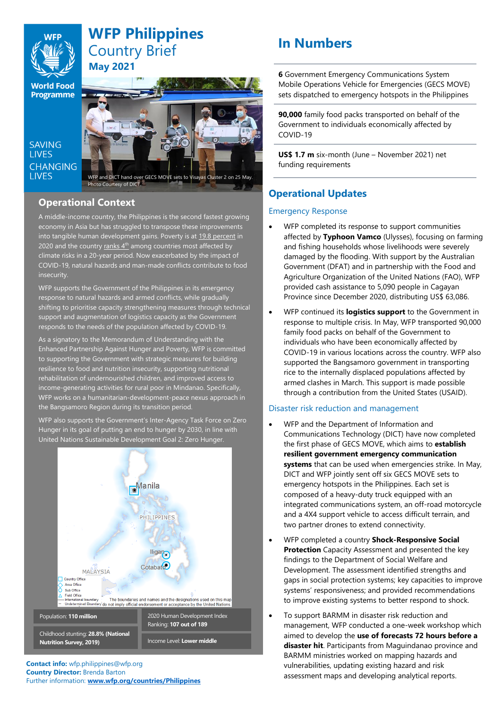# **WFP Philippines** Country Brief **May 2021**

**World Food** Programme

SAVING **LIVES CHANGING LIVES** 



Photo Courtesy of DICT.

## **Operational Context**

A middle-income country, the Philippines is the second fastest growing economy in Asia but has struggled to transpose these improvements into tangible human development gains. Poverty is at 19.8 [percent](https://www.pna.gov.ph/articles/1083509#:~:text=In%20its%20latest%20report%2C%20the,and%2018.7%20percent%20in%202021.) in 2020 and the country ranks  $4<sup>th</sup>$  among countries most affected by climate risks in a 20-year period. Now exacerbated by the impact of COVID-19, natural hazards and man-made conflicts contribute to food insecurity.

WFP supports the Government of the Philippines in its emergency response to natural hazards and armed conflicts, while gradually shifting to prioritise capacity strengthening measures through technical support and augmentation of logistics capacity as the Government responds to the needs of the population affected by COVID-19.

As a signatory to the Memorandum of Understanding with the Enhanced Partnership Against Hunger and Poverty, WFP is committed to supporting the Government with strategic measures for building resilience to food and nutrition insecurity, supporting nutritional rehabilitation of undernourished children, and improved access to income-generating activities for rural poor in Mindanao. Specifically, WFP works on a humanitarian-development-peace nexus approach in the Bangsamoro Region during its transition period.

WFP also supports the Government's Inter-Agency Task Force on Zero Hunger in its goal of putting an end to hunger by 2030, in line with United Nations Sustainable Development Goal 2: Zero Hunger.



**Contact info:** wfp.philippines@wfp.org **Country Director:** Brenda Barton Further information: **[www.wfp.org/countries/Philippines](http://www.wfp.org/countries/Philippines)**

# **In Numbers**

**6** Government Emergency Communications System Mobile Operations Vehicle for Emergencies (GECS MOVE) sets dispatched to emergency hotspots in the Philippines

**90,000** family food packs transported on behalf of the Government to individuals economically affected by COVID-19

**US\$ 1.7 m** six-month (June – November 2021) net funding requirements

# **Operational Updates**

### Emergency Response

- WFP completed its response to support communities affected by **Typhoon Vamco** (Ulysses), focusing on farming and fishing households whose livelihoods were severely damaged by the flooding. With support by the Australian Government (DFAT) and in partnership with the Food and Agriculture Organization of the United Nations (FAO), WFP provided cash assistance to 5,090 people in Cagayan Province since December 2020, distributing US\$ 63,086.
- WFP continued its **logistics support** to the Government in response to multiple crisis. In May, WFP transported 90,000 family food packs on behalf of the Government to individuals who have been economically affected by COVID-19 in various locations across the country. WFP also supported the Bangsamoro government in transporting rice to the internally displaced populations affected by armed clashes in March. This support is made possible through a contribution from the United States (USAID).

## Disaster risk reduction and management

- WFP and the Department of Information and Communications Technology (DICT) have now completed the first phase of GECS MOVE, which aims to **establish resilient government emergency communication systems** that can be used when emergencies strike. In May, DICT and WFP jointly sent off six GECS MOVE sets to emergency hotspots in the Philippines. Each set is composed of a heavy-duty truck equipped with an integrated communications system, an off-road motorcycle and a 4X4 support vehicle to access difficult terrain, and two partner drones to extend connectivity.
- WFP completed a country **Shock-Responsive Social Protection** Capacity Assessment and presented the key findings to the Department of Social Welfare and Development. The assessment identified strengths and gaps in social protection systems; key capacities to improve systems' responsiveness; and provided recommendations to improve existing systems to better respond to shock.
- To support BARMM in disaster risk reduction and management, WFP conducted a one-week workshop which aimed to develop the **use of forecasts 72 hours before a disaster hit**. Participants from Maguindanao province and BARMM ministries worked on mapping hazards and vulnerabilities, updating existing hazard and risk assessment maps and developing analytical reports.